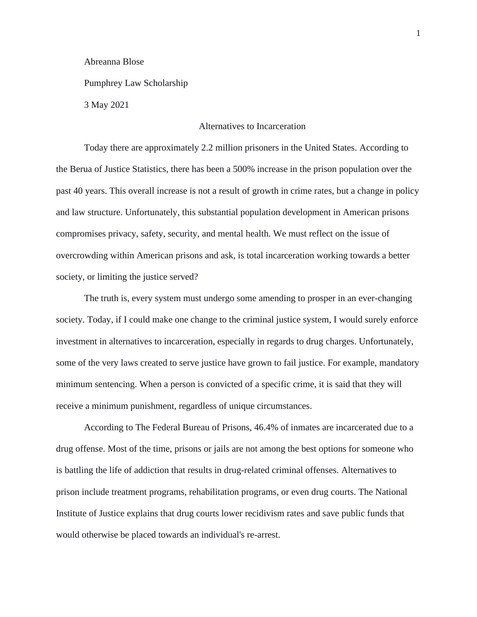## Abreanna Blose

## Pumphrey Law Scholarship

3 May 2021

## Alternatives to Incarceration

Today there are approximately 2.2 million prisoners in the United States. According to the Berua of Justice Statistics, there has been a 500% increase in the prison population over the past 40 years. This overall increase is not a result of growth in crime rates, but a change in policy and law structure. Unfortunately, this substantial population development in American prisons compromises privacy, safety, security, and mental health. We must reflect on the issue of overcrowding within American prisons and ask, is total incarceration working towards a better society, or limiting the justice served?

The truth is, every system must undergo some amending to prosper in an ever-changing society. Today, if I could make one change to the criminal justice system, I would surely enforce investment in alternatives to incarceration, especially in regards to drug charges. Unfortunately, some of the very laws created to serve justice have grown to fail justice. For example, mandatory minimum sentencing. When a person is convicted of a specific crime, it is said that they will receive a minimum punishment, regardless of unique circumstances.

According to The Federal Bureau of Prisons, 46.4% of inmates are incarcerated due to a drug offense. Most of the time, prisons or jails are not among the best options for someone who is battling the life of addiction that results in drug-related criminal offenses. Alternatives to prison include treatment programs, rehabilitation programs, or even drug courts. The National Institute of Justice explains that drug courts lower recidivism rates and save public funds that would otherwise be placed towards an individual's re-arrest.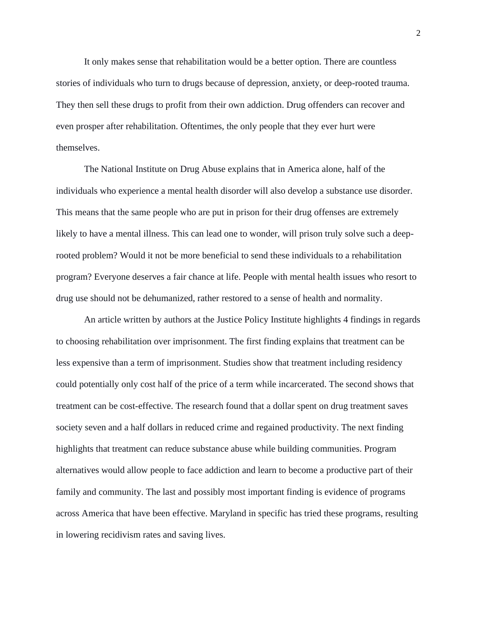It only makes sense that rehabilitation would be a better option. There are countless stories of individuals who turn to drugs because of depression, anxiety, or deep-rooted trauma. They then sell these drugs to profit from their own addiction. Drug offenders can recover and even prosper after rehabilitation. Oftentimes, the only people that they ever hurt were themselves.

The National Institute on Drug Abuse explains that in America alone, half of the individuals who experience a mental health disorder will also develop a substance use disorder. This means that the same people who are put in prison for their drug offenses are extremely likely to have a mental illness. This can lead one to wonder, will prison truly solve such a deeprooted problem? Would it not be more beneficial to send these individuals to a rehabilitation program? Everyone deserves a fair chance at life. People with mental health issues who resort to drug use should not be dehumanized, rather restored to a sense of health and normality.

An article written by authors at the Justice Policy Institute highlights 4 findings in regards to choosing rehabilitation over imprisonment. The first finding explains that treatment can be less expensive than a term of imprisonment. Studies show that treatment including residency could potentially only cost half of the price of a term while incarcerated. The second shows that treatment can be cost-effective. The research found that a dollar spent on drug treatment saves society seven and a half dollars in reduced crime and regained productivity. The next finding highlights that treatment can reduce substance abuse while building communities. Program alternatives would allow people to face addiction and learn to become a productive part of their family and community. The last and possibly most important finding is evidence of programs across America that have been effective. Maryland in specific has tried these programs, resulting in lowering recidivism rates and saving lives.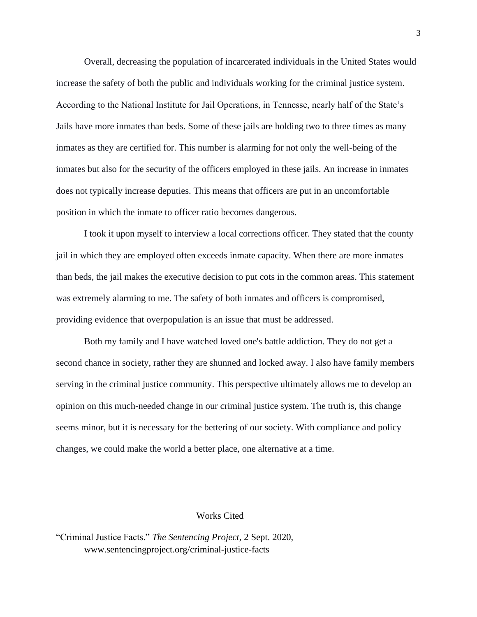Overall, decreasing the population of incarcerated individuals in the United States would increase the safety of both the public and individuals working for the criminal justice system. According to the National Institute for Jail Operations, in Tennesse, nearly half of the State's Jails have more inmates than beds. Some of these jails are holding two to three times as many inmates as they are certified for. This number is alarming for not only the well-being of the inmates but also for the security of the officers employed in these jails. An increase in inmates does not typically increase deputies. This means that officers are put in an uncomfortable position in which the inmate to officer ratio becomes dangerous.

I took it upon myself to interview a local corrections officer. They stated that the county jail in which they are employed often exceeds inmate capacity. When there are more inmates than beds, the jail makes the executive decision to put cots in the common areas. This statement was extremely alarming to me. The safety of both inmates and officers is compromised, providing evidence that overpopulation is an issue that must be addressed.

Both my family and I have watched loved one's battle addiction. They do not get a second chance in society, rather they are shunned and locked away. I also have family members serving in the criminal justice community. This perspective ultimately allows me to develop an opinion on this much-needed change in our criminal justice system. The truth is, this change seems minor, but it is necessary for the bettering of our society. With compliance and policy changes, we could make the world a better place, one alternative at a time.

## Works Cited

"Criminal Justice Facts." *The Sentencing Project*, 2 Sept. 2020, www.sentencingproject.org/criminal-justice-facts